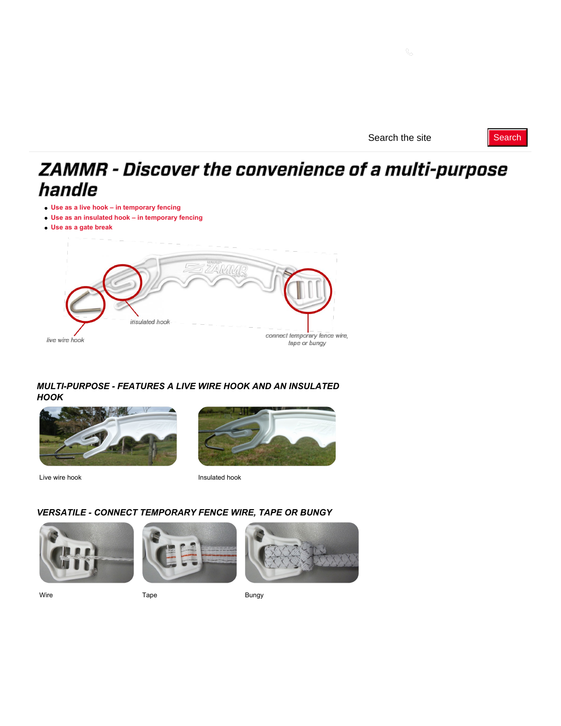# ZAMMR - Discover the convenience of a multi-purpose handle

- **[Use as a live hook in temporary fencing](#page-0-0)**
- **[Use as an insulated hook in temporary fencing](#page-1-0)**
- **[Use as a gate break](#page-1-1)**



## *MULTI-PURPOSE - FEATURES A LIVE WIRE HOOK AND AN INSULATED HOOK*



Live wire hook **Insulated hook** Insulated hook



# *VERSATILE - CONNECT TEMPORARY FENCE WIRE, TAPE OR BUNGY*







<span id="page-0-0"></span>Wire **Bungy Contracts** Tape **Bungy**